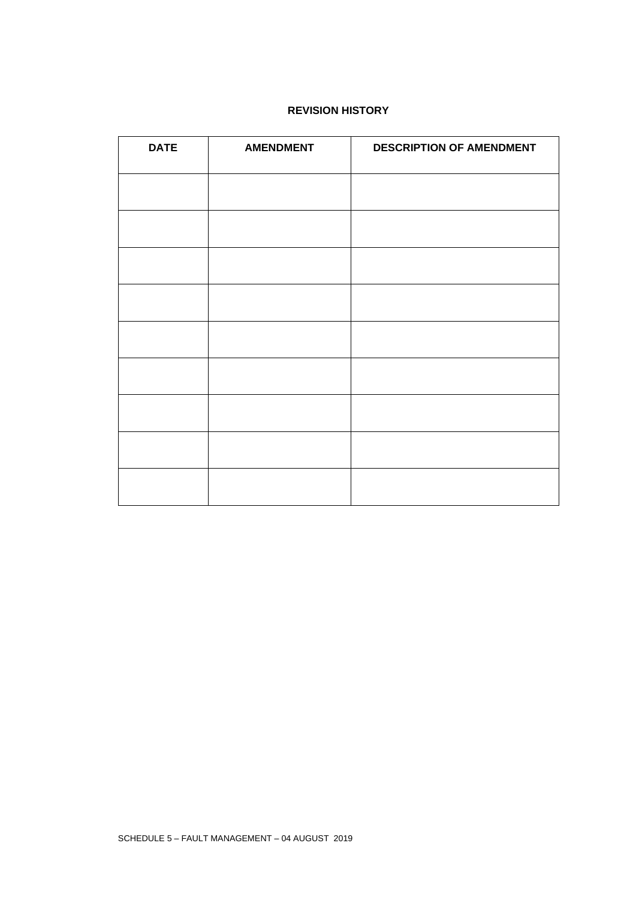### **REVISION HISTORY**

| <b>DATE</b> | <b>AMENDMENT</b> | <b>DESCRIPTION OF AMENDMENT</b> |
|-------------|------------------|---------------------------------|
|             |                  |                                 |
|             |                  |                                 |
|             |                  |                                 |
|             |                  |                                 |
|             |                  |                                 |
|             |                  |                                 |
|             |                  |                                 |
|             |                  |                                 |
|             |                  |                                 |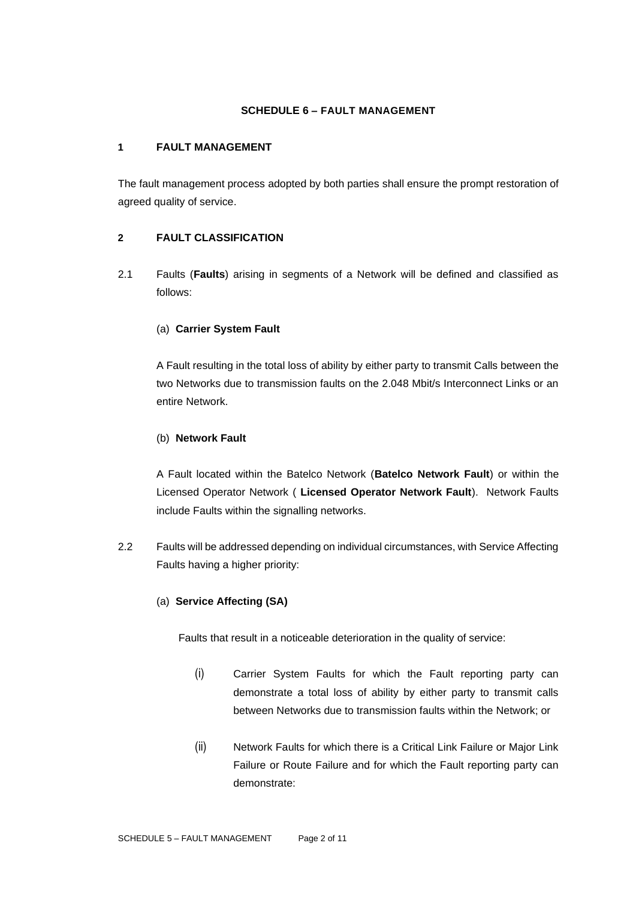#### **SCHEDULE 6 – FAULT MANAGEMENT**

#### **1 FAULT MANAGEMENT**

The fault management process adopted by both parties shall ensure the prompt restoration of agreed quality of service.

## **2 FAULT CLASSIFICATION**

2.1 Faults (**Faults**) arising in segments of a Network will be defined and classified as follows:

### (a) **Carrier System Fault**

A Fault resulting in the total loss of ability by either party to transmit Calls between the two Networks due to transmission faults on the 2.048 Mbit/s Interconnect Links or an entire Network.

### (b) **Network Fault**

A Fault located within the Batelco Network (**Batelco Network Fault**) or within the Licensed Operator Network ( **Licensed Operator Network Fault**). Network Faults include Faults within the signalling networks.

2.2 Faults will be addressed depending on individual circumstances, with Service Affecting Faults having a higher priority:

#### (a) **Service Affecting (SA)**

Faults that result in a noticeable deterioration in the quality of service:

- (i) Carrier System Faults for which the Fault reporting party can demonstrate a total loss of ability by either party to transmit calls between Networks due to transmission faults within the Network; or
- (ii) Network Faults for which there is a Critical Link Failure or Major Link Failure or Route Failure and for which the Fault reporting party can demonstrate: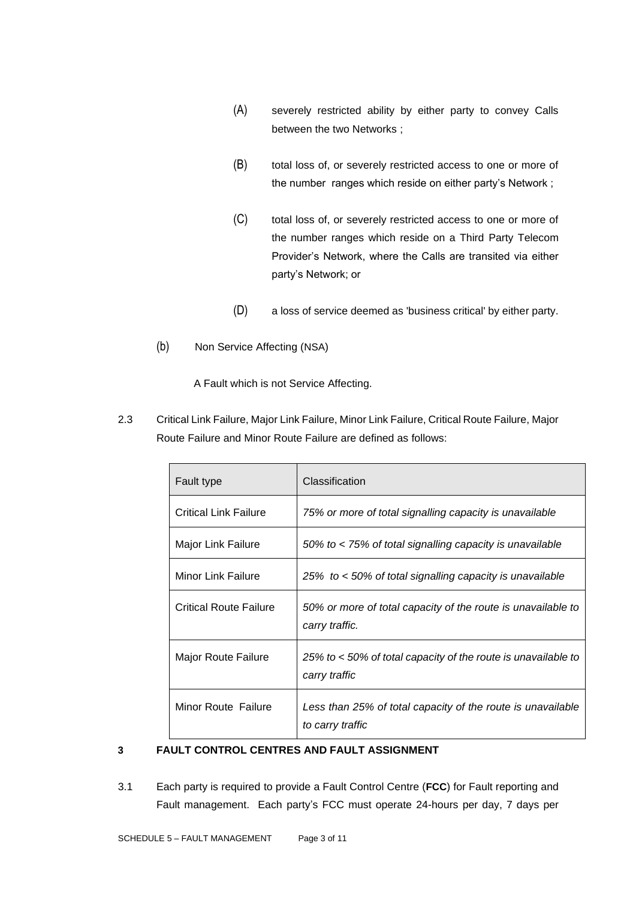- (A) severely restricted ability by either party to convey Calls between the two Networks ;
- (B) total loss of, or severely restricted access to one or more of the number ranges which reside on either party's Network ;
- (C) total loss of, or severely restricted access to one or more of the number ranges which reside on a Third Party Telecom Provider's Network, where the Calls are transited via either party's Network; or
- (D) a loss of service deemed as 'business critical' by either party.
- (b) Non Service Affecting (NSA)

A Fault which is not Service Affecting.

2.3 Critical Link Failure, Major Link Failure, Minor Link Failure, Critical Route Failure, Major Route Failure and Minor Route Failure are defined as follows:

| Fault type                    | Classification                                                                  |  |
|-------------------------------|---------------------------------------------------------------------------------|--|
| <b>Critical Link Failure</b>  | 75% or more of total signalling capacity is unavailable                         |  |
| Major Link Failure            | 50% to < 75% of total signalling capacity is unavailable                        |  |
| <b>Minor Link Failure</b>     | 25% to < 50% of total signalling capacity is unavailable                        |  |
| <b>Critical Route Failure</b> | 50% or more of total capacity of the route is unavailable to<br>carry traffic.  |  |
| Major Route Failure           | 25% to < 50% of total capacity of the route is unavailable to<br>carry traffic  |  |
| Minor Route Failure           | Less than 25% of total capacity of the route is unavailable<br>to carry traffic |  |

#### **3 FAULT CONTROL CENTRES AND FAULT ASSIGNMENT**

3.1 Each party is required to provide a Fault Control Centre (**FCC**) for Fault reporting and Fault management. Each party's FCC must operate 24-hours per day, 7 days per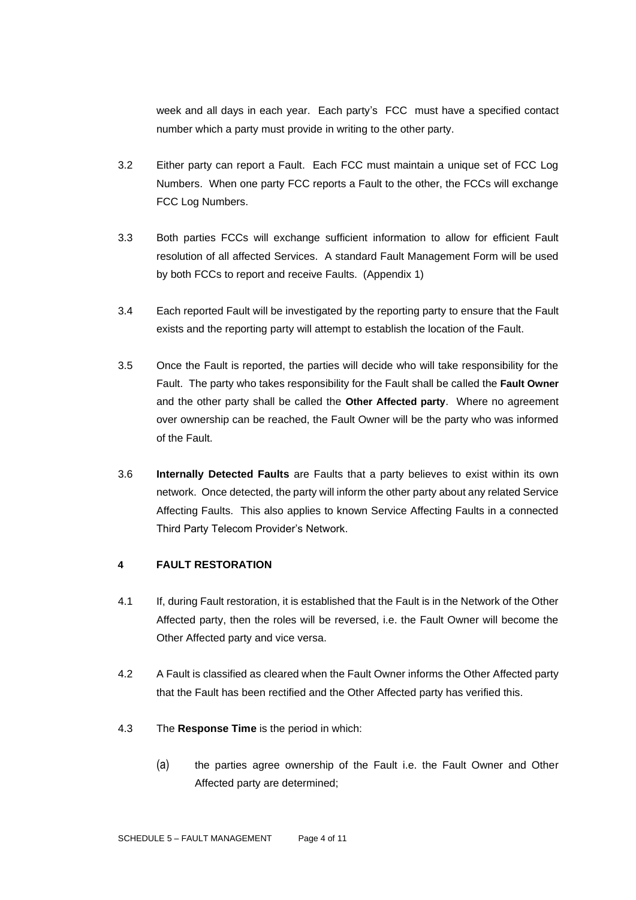week and all days in each year. Each party's FCC must have a specified contact number which a party must provide in writing to the other party.

- 3.2 Either party can report a Fault. Each FCC must maintain a unique set of FCC Log Numbers. When one party FCC reports a Fault to the other, the FCCs will exchange FCC Log Numbers.
- 3.3 Both parties FCCs will exchange sufficient information to allow for efficient Fault resolution of all affected Services. A standard Fault Management Form will be used by both FCCs to report and receive Faults. (Appendix 1)
- 3.4 Each reported Fault will be investigated by the reporting party to ensure that the Fault exists and the reporting party will attempt to establish the location of the Fault.
- 3.5 Once the Fault is reported, the parties will decide who will take responsibility for the Fault. The party who takes responsibility for the Fault shall be called the **Fault Owner**  and the other party shall be called the **Other Affected party**. Where no agreement over ownership can be reached, the Fault Owner will be the party who was informed of the Fault.
- 3.6 **Internally Detected Faults** are Faults that a party believes to exist within its own network. Once detected, the party will inform the other party about any related Service Affecting Faults. This also applies to known Service Affecting Faults in a connected Third Party Telecom Provider's Network.

#### **4 FAULT RESTORATION**

- 4.1 If, during Fault restoration, it is established that the Fault is in the Network of the Other Affected party, then the roles will be reversed, i.e. the Fault Owner will become the Other Affected party and vice versa.
- 4.2 A Fault is classified as cleared when the Fault Owner informs the Other Affected party that the Fault has been rectified and the Other Affected party has verified this.
- 4.3 The **Response Time** is the period in which:
	- (a) the parties agree ownership of the Fault i.e. the Fault Owner and Other Affected party are determined;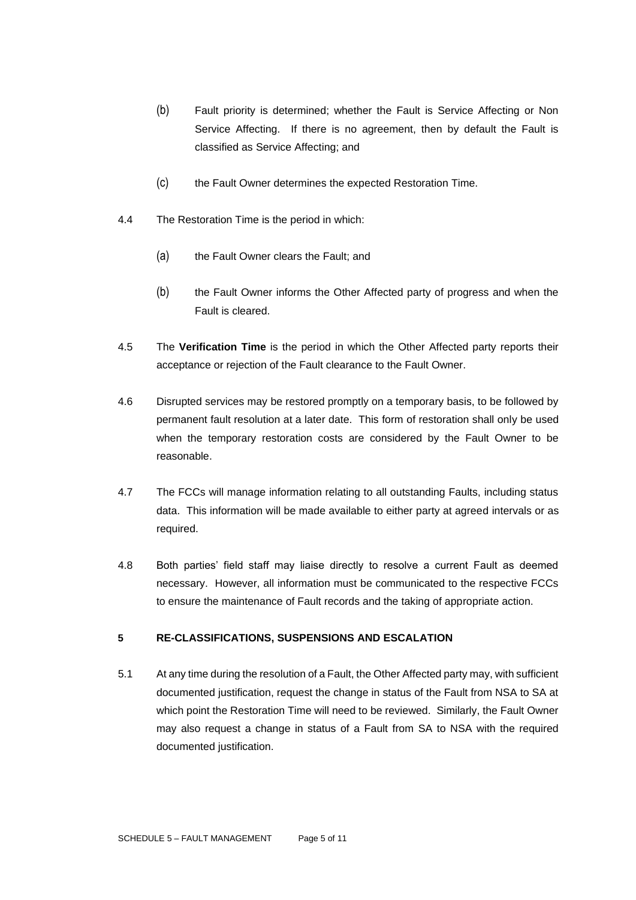- (b) Fault priority is determined; whether the Fault is Service Affecting or Non Service Affecting. If there is no agreement, then by default the Fault is classified as Service Affecting; and
- (c) the Fault Owner determines the expected Restoration Time.
- 4.4 The Restoration Time is the period in which:
	- (a) the Fault Owner clears the Fault; and
	- (b) the Fault Owner informs the Other Affected party of progress and when the Fault is cleared.
- 4.5 The **Verification Time** is the period in which the Other Affected party reports their acceptance or rejection of the Fault clearance to the Fault Owner.
- 4.6 Disrupted services may be restored promptly on a temporary basis, to be followed by permanent fault resolution at a later date. This form of restoration shall only be used when the temporary restoration costs are considered by the Fault Owner to be reasonable.
- 4.7 The FCCs will manage information relating to all outstanding Faults, including status data. This information will be made available to either party at agreed intervals or as required.
- 4.8 Both parties' field staff may liaise directly to resolve a current Fault as deemed necessary. However, all information must be communicated to the respective FCCs to ensure the maintenance of Fault records and the taking of appropriate action.

#### **5 RE-CLASSIFICATIONS, SUSPENSIONS AND ESCALATION**

5.1 At any time during the resolution of a Fault, the Other Affected party may, with sufficient documented justification, request the change in status of the Fault from NSA to SA at which point the Restoration Time will need to be reviewed. Similarly, the Fault Owner may also request a change in status of a Fault from SA to NSA with the required documented justification.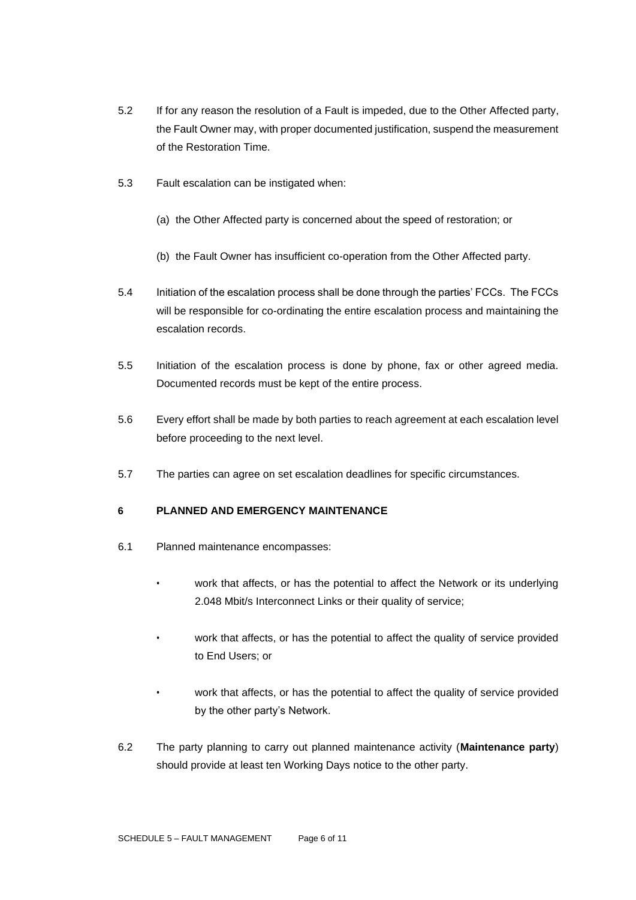- 5.2 If for any reason the resolution of a Fault is impeded, due to the Other Affected party, the Fault Owner may, with proper documented justification, suspend the measurement of the Restoration Time.
- 5.3 Fault escalation can be instigated when:
	- (a) the Other Affected party is concerned about the speed of restoration; or
	- (b) the Fault Owner has insufficient co-operation from the Other Affected party.
- 5.4 Initiation of the escalation process shall be done through the parties' FCCs. The FCCs will be responsible for co-ordinating the entire escalation process and maintaining the escalation records.
- 5.5 Initiation of the escalation process is done by phone, fax or other agreed media. Documented records must be kept of the entire process.
- 5.6 Every effort shall be made by both parties to reach agreement at each escalation level before proceeding to the next level.
- 5.7 The parties can agree on set escalation deadlines for specific circumstances.

#### **6 PLANNED AND EMERGENCY MAINTENANCE**

- 6.1 Planned maintenance encompasses:
	- work that affects, or has the potential to affect the Network or its underlying 2.048 Mbit/s Interconnect Links or their quality of service;
	- work that affects, or has the potential to affect the quality of service provided to End Users; or
	- work that affects, or has the potential to affect the quality of service provided by the other party's Network.
- 6.2 The party planning to carry out planned maintenance activity (**Maintenance party**) should provide at least ten Working Days notice to the other party.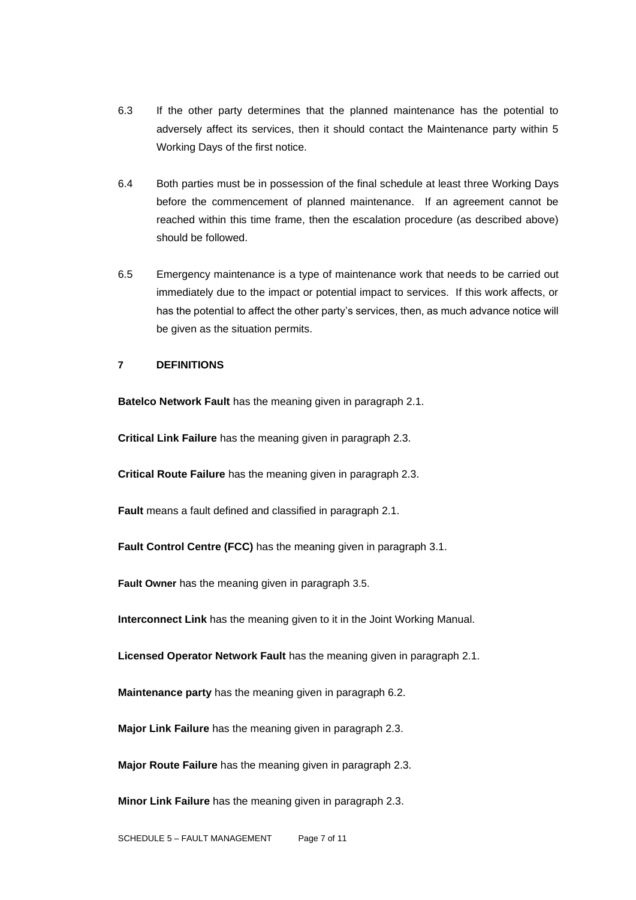- 6.3 If the other party determines that the planned maintenance has the potential to adversely affect its services, then it should contact the Maintenance party within 5 Working Days of the first notice.
- 6.4 Both parties must be in possession of the final schedule at least three Working Days before the commencement of planned maintenance. If an agreement cannot be reached within this time frame, then the escalation procedure (as described above) should be followed.
- 6.5 Emergency maintenance is a type of maintenance work that needs to be carried out immediately due to the impact or potential impact to services. If this work affects, or has the potential to affect the other party's services, then, as much advance notice will be given as the situation permits.

### **7 DEFINITIONS**

**Batelco Network Fault** has the meaning given in paragraph 2.1.

**Critical Link Failure** has the meaning given in paragraph 2.3.

**Critical Route Failure** has the meaning given in paragraph 2.3.

**Fault** means a fault defined and classified in paragraph 2.1.

**Fault Control Centre (FCC)** has the meaning given in paragraph 3.1.

**Fault Owner** has the meaning given in paragraph 3.5.

**Interconnect Link** has the meaning given to it in the Joint Working Manual.

**Licensed Operator Network Fault** has the meaning given in paragraph 2.1.

**Maintenance party** has the meaning given in paragraph 6.2.

**Major Link Failure** has the meaning given in paragraph 2.3.

**Major Route Failure** has the meaning given in paragraph 2.3.

**Minor Link Failure** has the meaning given in paragraph 2.3.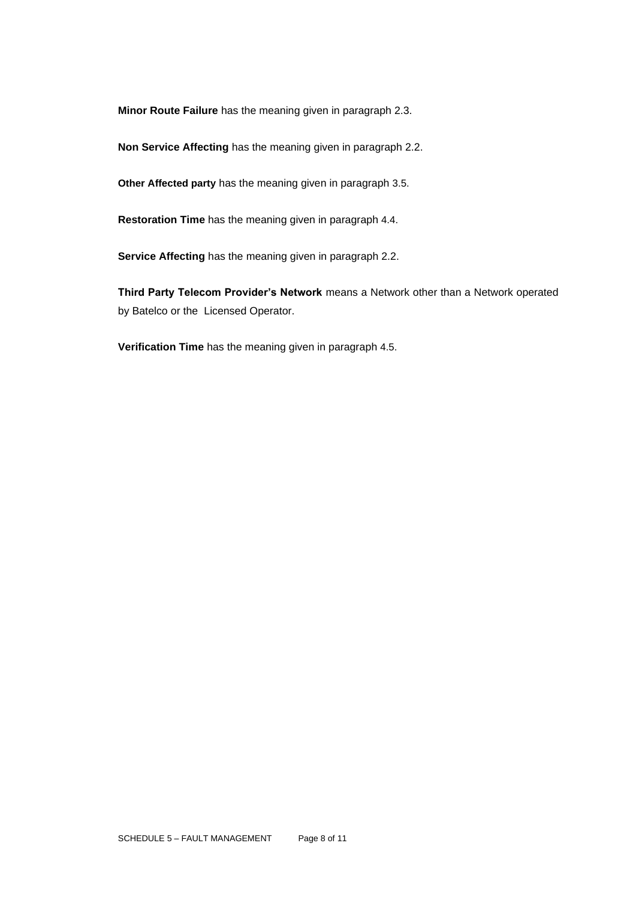**Minor Route Failure** has the meaning given in paragraph 2.3.

**Non Service Affecting** has the meaning given in paragraph 2.2.

**Other Affected party** has the meaning given in paragraph 3.5.

**Restoration Time** has the meaning given in paragraph 4.4.

**Service Affecting** has the meaning given in paragraph 2.2.

**Third Party Telecom Provider's Network** means a Network other than a Network operated by Batelco or the Licensed Operator.

**Verification Time** has the meaning given in paragraph 4.5.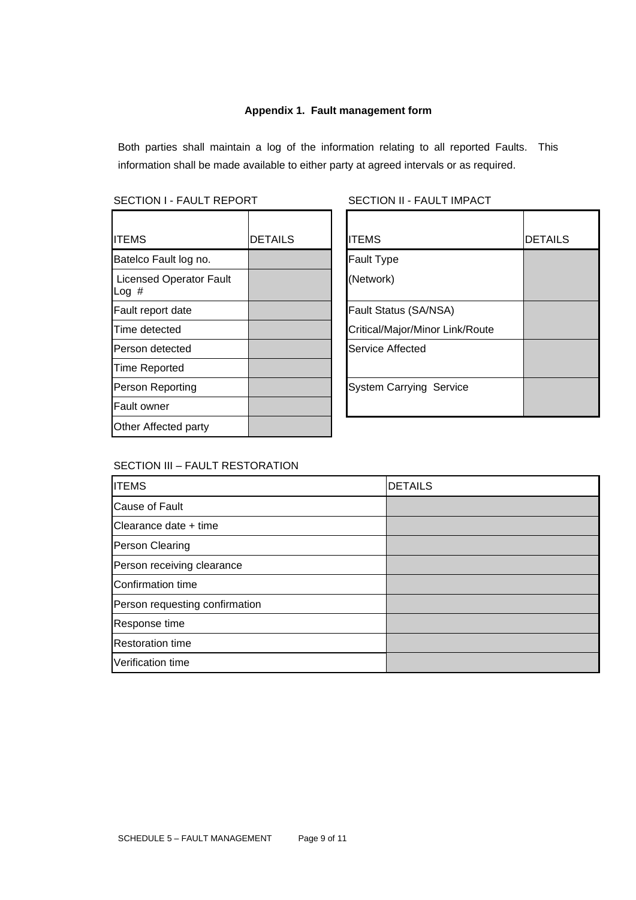#### **Appendix 1. Fault management form**

Both parties shall maintain a log of the information relating to all reported Faults. This information shall be made available to either party at agreed intervals or as required.

#### SECTION I - FAULT REPORT SECTION II - FAULT IMPACT

| <b>ITEMS</b>                           | <b>DETAILS</b> | <b>ITEMS</b>                    |
|----------------------------------------|----------------|---------------------------------|
| Batelco Fault log no.                  |                | <b>Fault Type</b>               |
| <b>Licensed Operator Fault</b><br>Log# |                | (Network)                       |
| Fault report date                      |                | <b>Fault Status (SA/NSA)</b>    |
| Time detected                          |                | Critical/Major/Minor Link/Route |
| Person detected                        |                | Service Affected                |
| <b>Time Reported</b>                   |                |                                 |
| Person Reporting                       |                | <b>System Carrying Service</b>  |
| <b>Fault owner</b>                     |                |                                 |
| Other Affected party                   |                |                                 |

| <b>ITEMS</b>                           | <b>DETAILS</b> | <b>ITEMS</b>                    | <b>DETAILS</b> |
|----------------------------------------|----------------|---------------------------------|----------------|
| Batelco Fault log no.                  |                | <b>Fault Type</b>               |                |
| <b>Licensed Operator Fault</b><br>Log# |                | (Network)                       |                |
| Fault report date                      |                | Fault Status (SA/NSA)           |                |
| Time detected                          |                | Critical/Major/Minor Link/Route |                |
| Person detected                        |                | Service Affected                |                |
| Time Reported                          |                |                                 |                |
| Person Reporting                       |                | <b>System Carrying Service</b>  |                |
| Fault owner                            |                |                                 |                |
|                                        |                |                                 |                |

# SECTION III – FAULT RESTORATION

| <b>ITEMS</b>                   | <b>DETAILS</b> |
|--------------------------------|----------------|
| <b>Cause of Fault</b>          |                |
| Clearance date + time          |                |
| <b>Person Clearing</b>         |                |
| Person receiving clearance     |                |
| Confirmation time              |                |
| Person requesting confirmation |                |
| Response time                  |                |
| <b>Restoration time</b>        |                |
| Verification time              |                |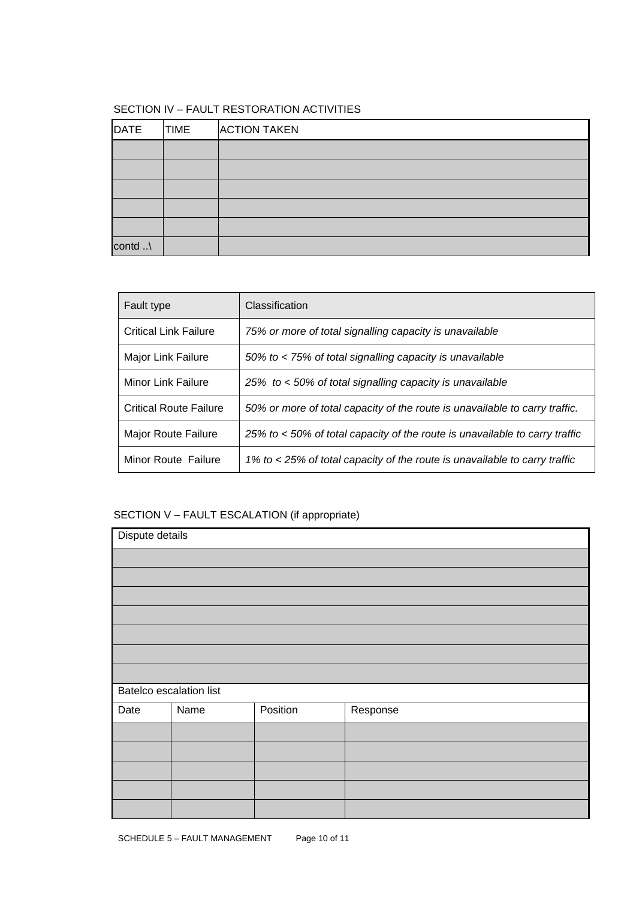# SECTION IV – FAULT RESTORATION ACTIVITIES

| DATE    | <b>TIME</b> | <b>ACTION TAKEN</b> |
|---------|-------------|---------------------|
|         |             |                     |
|         |             |                     |
|         |             |                     |
|         |             |                     |
|         |             |                     |
| contd \ |             |                     |

| Fault type                    | Classification                                                              |
|-------------------------------|-----------------------------------------------------------------------------|
| <b>Critical Link Failure</b>  | 75% or more of total signalling capacity is unavailable                     |
| Major Link Failure            | 50% to < 75% of total signalling capacity is unavailable                    |
| Minor Link Failure            | 25% to < 50% of total signalling capacity is unavailable                    |
| <b>Critical Route Failure</b> | 50% or more of total capacity of the route is unavailable to carry traffic. |
| Major Route Failure           | 25% to < 50% of total capacity of the route is unavailable to carry traffic |
| Minor Route Failure           | 1% to < 25% of total capacity of the route is unavailable to carry traffic  |

# SECTION V – FAULT ESCALATION (if appropriate)

| Dispute details |                         |          |          |
|-----------------|-------------------------|----------|----------|
|                 |                         |          |          |
|                 |                         |          |          |
|                 |                         |          |          |
|                 |                         |          |          |
|                 |                         |          |          |
|                 |                         |          |          |
|                 |                         |          |          |
|                 | Batelco escalation list |          |          |
| Date            | Name                    | Position | Response |
|                 |                         |          |          |
|                 |                         |          |          |
|                 |                         |          |          |
|                 |                         |          |          |
|                 |                         |          |          |